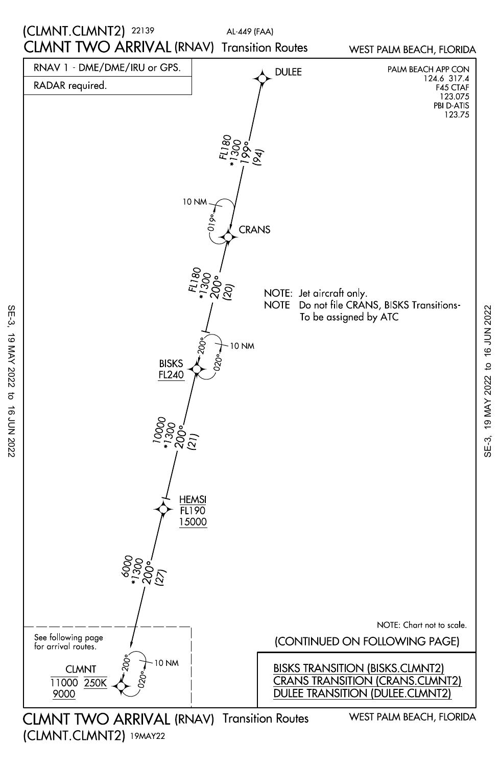

CLMNT TWO ARRIVAL (RNAV) Transition Routes (CLMNT.CLMNT2) 19MAY22

SE-3, 19 MAY 2022 to 16 JUN 2022

 $\overline{a}$ 

16 JUN 2022

19 MAY 2022

SE-3,

19 MAY 2022 to 16 JUN 2022 SE-3, 19 MAY 2022 to 16 JUN 2022 $SE-3$ ,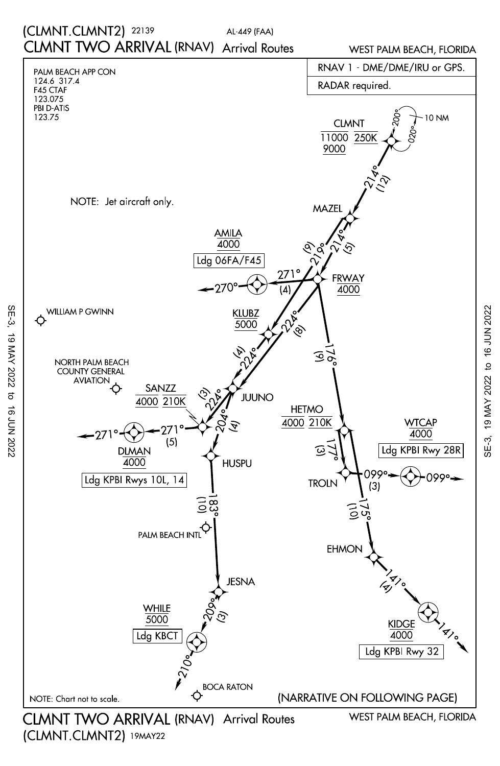## AL-449 (FAA) CLMNT TWO ARRIVAL (RNAV) Arrival Routes (CLMNT.CLMNT2) 22139

WEST PALM BEACH, FLORIDA



(CLMNT.CLMNT2) 19MAY22

SE-3, 19 MAY 2022 to 16 JUN 2022

 $\vec{c}$ 

**16 JUN 2022** 

19 MAY 2022

SE-3,